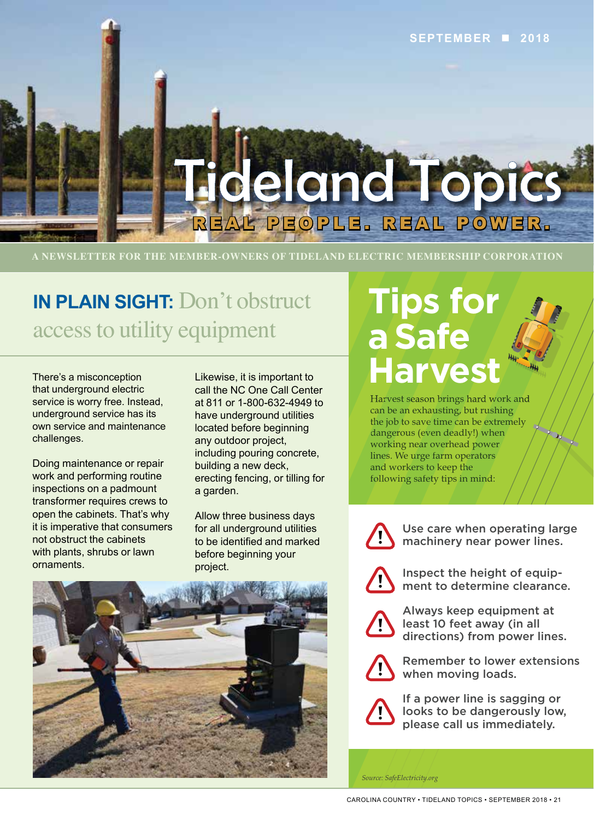

**A NEWSLETTER FOR THE MEMBER-OWNERS OF TIDELAND ELECTRIC MEMBERSHIP CORPORATION**

## **IN PLAIN SIGHT:** Don't obstruct access to utility equipment

There's a misconception that underground electric service is worry free. Instead, underground service has its own service and maintenance challenges.

Doing maintenance or repair work and performing routine inspections on a padmount transformer requires crews to open the cabinets. That's why it is imperative that consumers not obstruct the cabinets with plants, shrubs or lawn ornaments.

Likewise, it is important to call the NC One Call Center at 811 or 1-800-632-4949 to have underground utilities located before beginning any outdoor project, including pouring concrete, building a new deck, erecting fencing, or tilling for a garden.

Allow three business days for all underground utilities to be identified and marked before beginning your project.



## **Tips for a Safe Harvest**

Harvest season brings hard work and can be an exhausting, but rushing the job to save time can be extremely dangerous (even deadly!) when working near overhead power lines. We urge farm operators and workers to keep the following safety tips in mind:



Use care when operating large machinery near power lines.



Inspect the height of equipment to determine clearance.



Always keep equipment at least 10 feet away (in all directions) from power lines.



Remember to lower extensions when moving loads.



If a power line is sagging or looks to be dangerously low, please call us immediately.

*Source: SafeElectricity.org*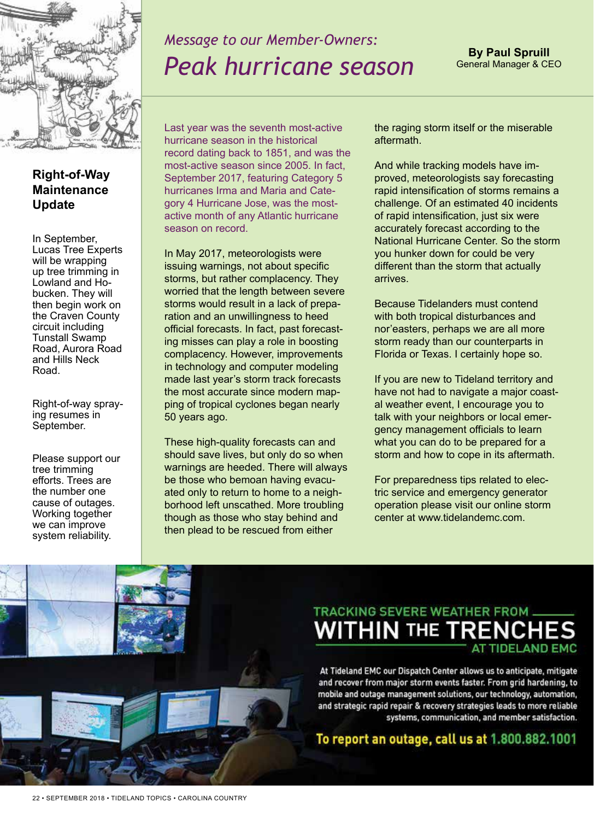

## *Message to our Member-Owners: Peak hurricane season*

### **Right-of-Way Maintenance Update**

In September, Lucas Tree Experts will be wrapping up tree trimming in Lowland and Hobucken. They will then begin work on the Craven County circuit including Tunstall Swamp Road, Aurora Road and Hills Neck Road.

Right-of-way spraying resumes in September.

Please support our tree trimming efforts. Trees are the number one cause of outages. Working together we can improve system reliability.

Last year was the seventh most-active hurricane season in the historical record dating back to 1851, and was the most-active season since 2005. In fact, September 2017, featuring Category 5 hurricanes Irma and Maria and Category 4 Hurricane Jose, was the mostactive month of any Atlantic hurricane season on record.

In May 2017, meteorologists were issuing warnings, not about specific storms, but rather complacency. They worried that the length between severe storms would result in a lack of preparation and an unwillingness to heed official forecasts. In fact, past forecasting misses can play a role in boosting complacency. However, improvements in technology and computer modeling made last year's storm track forecasts the most accurate since modern mapping of tropical cyclones began nearly 50 years ago.

These high-quality forecasts can and should save lives, but only do so when warnings are heeded. There will always be those who bemoan having evacuated only to return to home to a neighborhood left unscathed. More troubling though as those who stay behind and then plead to be rescued from either

the raging storm itself or the miserable aftermath.

And while tracking models have improved, meteorologists say forecasting rapid intensification of storms remains a challenge. Of an estimated 40 incidents of rapid intensification, just six were accurately forecast according to the National Hurricane Center. So the storm you hunker down for could be very different than the storm that actually arrives.

Because Tidelanders must contend with both tropical disturbances and nor'easters, perhaps we are all more storm ready than our counterparts in Florida or Texas. I certainly hope so.

If you are new to Tideland territory and have not had to navigate a major coastal weather event, I encourage you to talk with your neighbors or local emergency management officials to learn what you can do to be prepared for a storm and how to cope in its aftermath.

For preparedness tips related to electric service and emergency generator operation please visit our online storm center at www.tidelandemc.com.

## **TRACKING SEVERE WEATHER FROM WITHIN THE TRENCHES**

At Tideland EMC our Dispatch Center allows us to anticipate, mitigate and recover from major storm events faster. From grid hardening, to mobile and outage management solutions, our technology, automation, and strategic rapid repair & recovery strategies leads to more reliable systems, communication, and member satisfaction.

### To report an outage, call us at 1.800.882.1001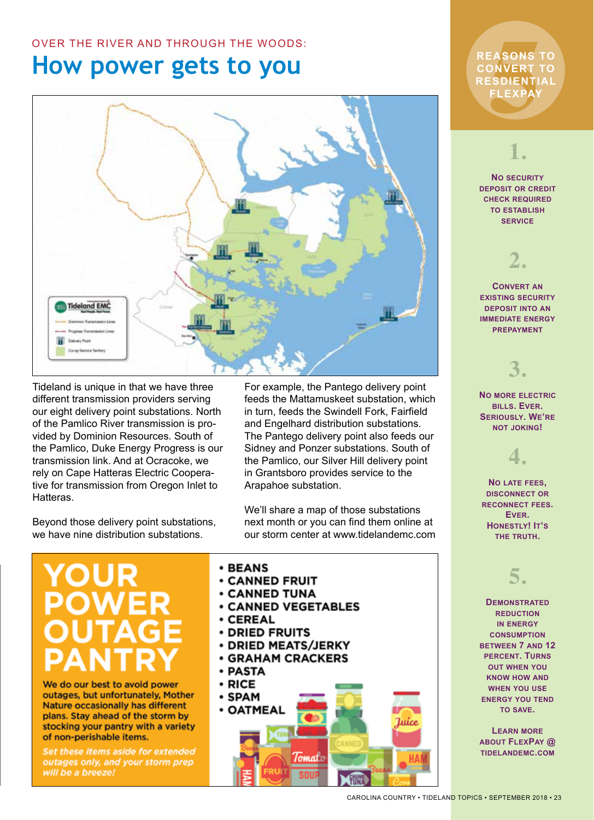## OVER THE RIVER AND THROUGH THE WOODS:

## **How power gets to you**



Tideland is unique in that we have three different transmission providers serving our eight delivery point substations. North of the Pamlico River transmission is provided by Dominion Resources. South of the Pamlico, Duke Energy Progress is our transmission link. And at Ocracoke, we rely on Cape Hatteras Electric Cooperative for transmission from Oregon Inlet to Hatteras.

Beyond those delivery point substations, we have nine distribution substations.

For example, the Pantego delivery point feeds the Mattamuskeet substation, which in turn, feeds the Swindell Fork, Fairfield and Engelhard distribution substations. The Pantego delivery point also feeds our Sidney and Ponzer substations. South of the Pamlico, our Silver Hill delivery point in Grantsboro provides service to the Arapahoe substation.

We'll share a map of those substations next month or you can find them online at our storm center at www.tidelandemc.com

# **YOUR**

We do our best to avoid power outages, but unfortunately, Mother Nature occasionally has different plans. Stay ahead of the storm by stocking your pantry with a variety of non-perishable items.

Set these items aside for extended outages only, and your storm prep will be a breeze!

- **BEANS**
- **CANNED FRUIT**
- **CANNED TUNA**
- **CANNED VEGETABLES**
- $\cdot$  CEREAL
- **DRIED FRUITS**
- DRIED MEATS/JERKY
- **GRAHAM CRACKERS**
- PASTA
- RICE



## EASONS<br>DNVERT<br>:SDIENTI<br>FLEXPAY<br>FLEXPAY **REASONS TO CONVERT TO RESDIENTIAL FLEXPAY**

## **1.**

**No security deposit or credit check required to establish service**

> **2. Convert an**

**existing security deposit into an immediate energy prepayment**

**3.**

**No more electric bills. Ever. Seriously. We're not joking!** 

**4.**

**No late fees, disconnect or reconnect fees. Ever. Honestly! It's the truth.** 

## **5.**

**Demonstrated reduction in energy consumption between 7 and 12 percent. Turns out when you know how and when you use energy you tend to save.** 

**Learn more about FlexPay @ tidelandemc.com**